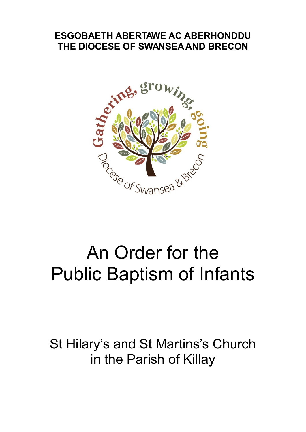# **ESGOBAETH ABERTAWE AC ABERHONDDU**



# An Order for the Public Baptism of Infants

St Hilary's and St Martins's Church in the Parish of Killay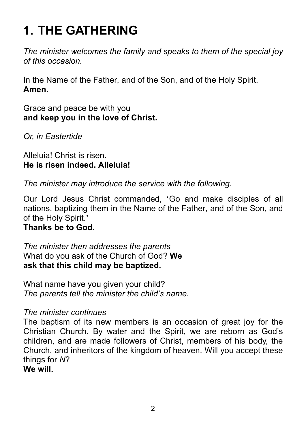# **1. THE GATHERING**

*The minister welcomes the family and speaks to them of the special joy of this occasion.*

In the Name of the Father, and of the Son, and of the Holy Spirit. **Amen.**

Grace and peace be with you **and keep you in the love of Christ.**

*Or, in Eastertide*

Alleluia! Christ is risen. **He is risen indeed. Alleluia!**

*The minister may introduce the service with the following.*

Our Lord Jesus Christ commanded, 'Go and make disciples of all nations, baptizing them in the Name of the Father, and of the Son, and of the Holy Spirit.'

#### **Thanks be to God.**

*The minister then addresses the parents* What do you ask of the Church of God? **We ask that this child may be baptized.**

What name have you given your child? *The parents tell the minister the child's name.*

#### *The minister continues*

The baptism of its new members is an occasion of great joy for the Christian Church. By water and the Spirit, we are reborn as God's children, and are made followers of Christ, members of his body, the Church, and inheritors of the kingdom of heaven. Will you accept these things for *N*?

#### **We will.**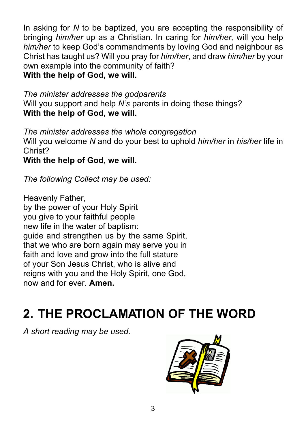In asking for *N* to be baptized, you are accepting the responsibility of bringing *him/her* up as a Christian. In caring for *him/her,* will you help *him/her* to keep God's commandments by loving God and neighbour as Christ has taught us? Will you pray for *him/her*, and draw *him/her* by your own example into the community of faith? **With the help of God, we will.**

*The minister addresses the godparents* Will you support and help *N's* parents in doing these things? **With the help of God, we will.**

*The minister addresses the whole congregation* Will you welcome *N* and do your best to uphold *him/her* in *his/her* life in Christ?

**With the help of God, we will.**

*The following Collect may be used:*

Heavenly Father, by the power of your Holy Spirit you give to your faithful people new life in the water of baptism: guide and strengthen us by the same Spirit, that we who are born again may serve you in faith and love and grow into the full stature of your Son Jesus Christ, who is alive and reigns with you and the Holy Spirit, one God, now and for ever. **Amen.**

## **2. THE PROCLAMATION OF THE WORD**

*A short reading may be used.*

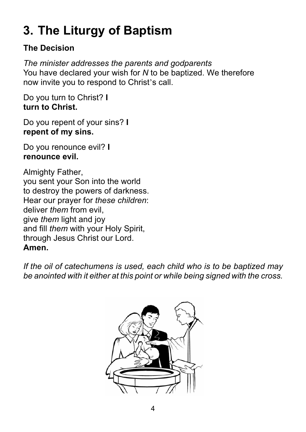# **3. The Liturgy of Baptism**

#### **The Decision**

*The minister addresses the parents and godparents* You have declared your wish for *N* to be baptized. We therefore now invite you to respond to Christ's call.

Do you turn to Christ? **I turn to Christ.**

Do you repent of your sins? **I repent of my sins.**

Do you renounce evil? **I renounce evil.**

Almighty Father, you sent your Son into the world to destroy the powers of darkness. Hear our prayer for *these children*: deliver *them* from evil, give *them* light and joy and fill *them* with your Holy Spirit, through Jesus Christ our Lord. **Amen.**

*If the oil of catechumens is used, each child who is to be baptized may be anointed with it either at this point or while being signed with the cross.*

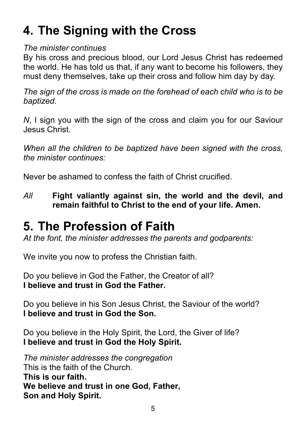### **4. The Signing with the Cross**

#### *The minister continues*

By his cross and precious blood, our Lord Jesus Christ has redeemed the world. He has told us that, if any want to become his followers, they must deny themselves, take up their cross and follow him day by day.

*The sign of the cross is made on the forehead of each child who is to be baptized.*

*N*. I sign you with the sign of the cross and claim you for our Saviour Jesus Christ.

*When all the children to be baptized have been signed with the cross, the minister continues:*

Never be ashamed to confess the faith of Christ crucified.

*All* **Fight valiantly against sin, the world and the devil, and remain faithful to Christ to the end of your life. Amen.**

#### **5. The Profession of Faith**

*At the font, the minister addresses the parents and godparents:*

We invite you now to profess the Christian faith.

Do you believe in God the Father, the Creator of all? **I believe and trust in God the Father.**

Do you believe in his Son Jesus Christ, the Saviour of the world? **I believe and trust in God the Son.**

Do you believe in the Holy Spirit, the Lord, the Giver of life? **I believe and trust in God the Holy Spirit.**

*The minister addresses the congregation* This is the faith of the Church. **This is our faith. We believe and trust in one God, Father, Son and Holy Spirit.**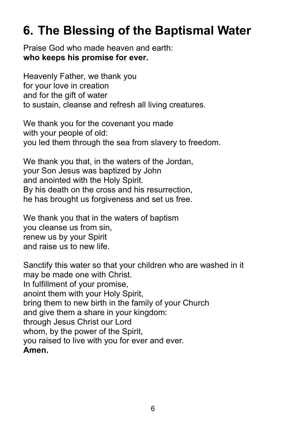#### **6. The Blessing of the Baptismal Water**

Praise God who made heaven and earth: **who keeps his promise for ever.**

Heavenly Father, we thank you for your love in creation and for the gift of water to sustain, cleanse and refresh all living creatures.

We thank you for the covenant you made with your people of old: you led them through the sea from slavery to freedom.

We thank you that, in the waters of the Jordan, your Son Jesus was baptized by John and anointed with the Holy Spirit. By his death on the cross and his resurrection, he has brought us forgiveness and set us free.

We thank you that in the waters of baptism you cleanse us from sin, renew us by your Spirit and raise us to new life.

Sanctify this water so that your children who are washed in it may be made one with Christ. In fulfillment of your promise, anoint them with your Holy Spirit, bring them to new birth in the family of your Church and give them a share in your kingdom: through Jesus Christ our Lord whom, by the power of the Spirit, you raised to live with you for ever and ever. **Amen.**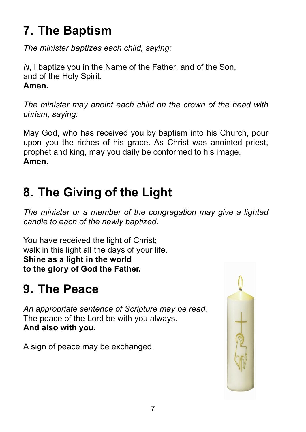## **7. The Baptism**

*The minister baptizes each child, saying:*

*N*, I baptize you in the Name of the Father, and of the Son, and of the Holy Spirit. **Amen.**

*The minister may anoint each child on the crown of the head with chrism, saying:*

May God, who has received you by baptism into his Church, pour upon you the riches of his grace. As Christ was anointed priest, prophet and king, may you daily be conformed to his image. **Amen.**

### **8. The Giving of the Light**

*The minister or a member of the congregation may give a lighted candle to each of the newly baptized.*

You have received the light of Christ; walk in this light all the days of your life. **Shine as a light in the world to the glory of God the Father.**

### **9. The Peace**

*An appropriate sentence of Scripture may be read.* The peace of the Lord be with you always. **And also with you.**

A sign of peace may be exchanged.